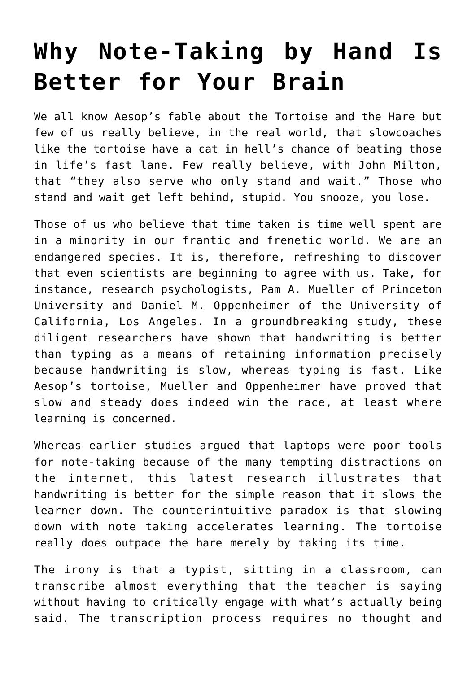## **[Why Note-Taking by Hand Is](https://intellectualtakeout.org/2017/08/why-note-taking-by-hand-is-better-for-your-brain/) [Better for Your Brain](https://intellectualtakeout.org/2017/08/why-note-taking-by-hand-is-better-for-your-brain/)**

We all know Aesop's fable about the Tortoise and the Hare but few of us really believe, in the real world, that slowcoaches like the tortoise have a cat in hell's chance of beating those in life's fast lane. Few really believe, with John Milton, that "they also serve who only stand and wait." Those who stand and wait get left behind, stupid. You snooze, you lose.

Those of us who believe that time taken is time well spent are in a minority in our frantic and frenetic world. We are an endangered species. It is, therefore, refreshing to discover that even scientists are beginning to agree with us. Take, for instance, research psychologists, Pam A. Mueller of Princeton University and Daniel M. Oppenheimer of the University of California, Los Angeles. In a groundbreaking study, these diligent researchers have shown that handwriting is better than typing as a means of retaining information precisely because handwriting is slow, whereas typing is fast. Like Aesop's tortoise, Mueller and Oppenheimer have proved that slow and steady does indeed win the race, at least where learning is concerned.

Whereas earlier studies argued that laptops were poor tools for note-taking because of the many tempting distractions on the internet, this latest research illustrates that handwriting is better for the simple reason that it slows the learner down. The counterintuitive paradox is that slowing down with note taking accelerates learning. The tortoise really does outpace the hare merely by taking its time.

The irony is that a typist, sitting in a classroom, can transcribe almost everything that the teacher is saying without having to critically engage with what's actually being said. The transcription process requires no thought and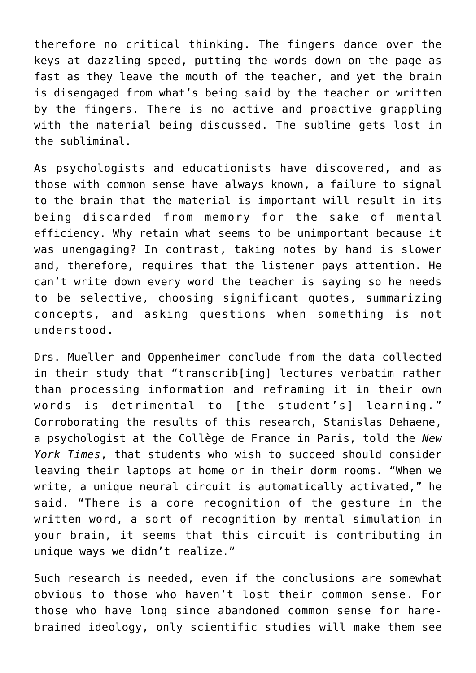therefore no critical thinking. The fingers dance over the keys at dazzling speed, putting the words down on the page as fast as they leave the mouth of the teacher, and yet the brain is disengaged from what's being said by the teacher or written by the fingers. There is no active and proactive grappling with the material being discussed. The sublime gets lost in the subliminal.

As psychologists and educationists have discovered, and as those with common sense have always known, a failure to signal to the brain that the material is important will result in its being discarded from memory for the sake of mental efficiency. Why retain what seems to be unimportant because it was unengaging? In contrast, taking notes by hand is slower and, therefore, requires that the listener pays attention. He can't write down every word the teacher is saying so he needs to be selective, choosing significant quotes, summarizing concepts, and asking questions when something is not understood.

Drs. Mueller and Oppenheimer conclude from the data collected in their study that "transcrib[ing] lectures verbatim rather than processing information and reframing it in their own words is detrimental to [the student's] learning." Corroborating the results of this research, Stanislas Dehaene, a psychologist at the Collège de France in Paris, told the *New York Times*, that students who wish to succeed should consider leaving their laptops at home or in their dorm rooms. "When we write, a unique neural circuit is automatically activated," he said. "There is a core recognition of the gesture in the written word, a sort of recognition by mental simulation in your brain, it seems that this circuit is contributing in unique ways we didn't realize."

Such research is needed, even if the conclusions are somewhat obvious to those who haven't lost their common sense. For those who have long since abandoned common sense for harebrained ideology, only scientific studies will make them see